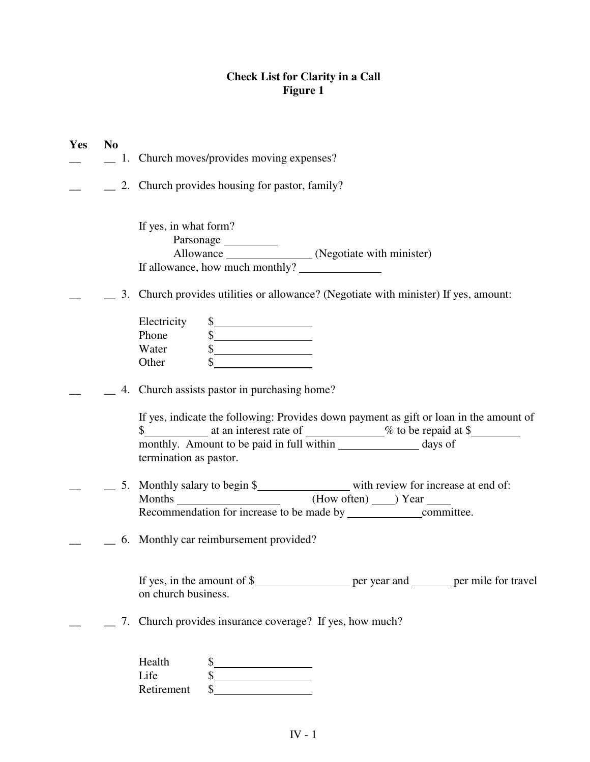### **Check List for Clarity in a Call Figure 1**

| Yes | N <sub>0</sub> | 1. Church moves/provides moving expenses?                                                                                                                                                |
|-----|----------------|------------------------------------------------------------------------------------------------------------------------------------------------------------------------------------------|
|     |                | 2. Church provides housing for pastor, family?                                                                                                                                           |
|     |                | If yes, in what form?                                                                                                                                                                    |
|     |                | 3. Church provides utilities or allowance? (Negotiate with minister) If yes, amount:                                                                                                     |
|     |                | Electricity<br>$\frac{1}{2}$<br>Phone<br>$\begin{array}{c c}\n\text{S}\n\end{array}$<br>Water<br>Other                                                                                   |
|     |                | 4. Church assists pastor in purchasing home?                                                                                                                                             |
|     |                | If yes, indicate the following: Provides down payment as gift or loan in the amount of<br>monthly. Amount to be paid in full within __________________ days of<br>termination as pastor. |
|     |                |                                                                                                                                                                                          |
|     |                | 6. Monthly car reimbursement provided?                                                                                                                                                   |
|     |                | on church business.                                                                                                                                                                      |
|     |                | 7. Church provides insurance coverage? If yes, how much?                                                                                                                                 |
|     |                | Health<br>$\frac{1}{2}$<br>Life<br>$\frac{1}{2}$<br>Retirement                                                                                                                           |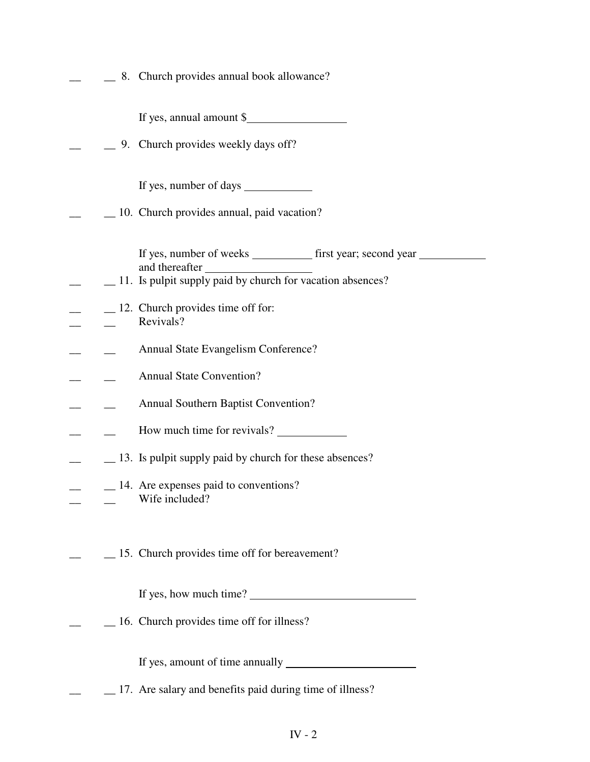|  | 8. Church provides annual book allowance?                                                                                                      |
|--|------------------------------------------------------------------------------------------------------------------------------------------------|
|  | If yes, annual amount $\frac{1}{2}$                                                                                                            |
|  | 9. Church provides weekly days off?                                                                                                            |
|  | If yes, number of days                                                                                                                         |
|  | 10. Church provides annual, paid vacation?                                                                                                     |
|  | If yes, number of weeks _____________ first year; second year<br>and thereafter<br>_11. Is pulpit supply paid by church for vacation absences? |
|  | $\_\_$ 12. Church provides time off for:<br>Revivals?                                                                                          |
|  | Annual State Evangelism Conference?                                                                                                            |
|  | <b>Annual State Convention?</b>                                                                                                                |
|  | <b>Annual Southern Baptist Convention?</b>                                                                                                     |
|  | How much time for revivals?                                                                                                                    |
|  | 13. Is pulpit supply paid by church for these absences?                                                                                        |
|  | $\_\_$ 14. Are expenses paid to conventions?<br>Wife included?                                                                                 |
|  | _15. Church provides time off for bereavement?                                                                                                 |
|  | If yes, how much time?                                                                                                                         |
|  | $\_\$ 16. Church provides time off for illness?                                                                                                |
|  | If yes, amount of time annually                                                                                                                |
|  | 17. Are salary and benefits paid during time of illness?                                                                                       |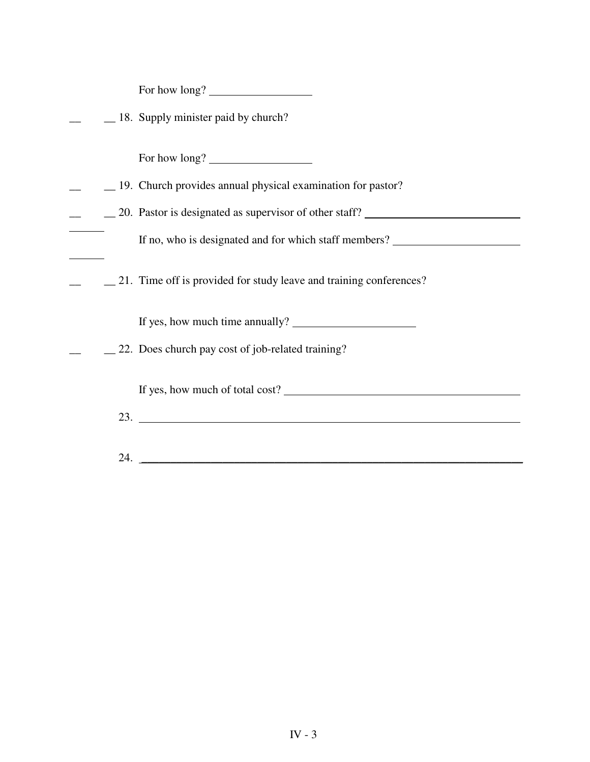For how long?

|  |  |  |  |  | 18. Supply minister paid by church? |  |
|--|--|--|--|--|-------------------------------------|--|
|--|--|--|--|--|-------------------------------------|--|

For how long?

- \_\_ \_\_ 19. Church provides annual physical examination for pastor?
- 10. Pastor is designated as supervisor of other staff?

If no, who is designated and for which staff members?

\_\_ \_\_ 21. Time off is provided for study leave and training conferences?

If yes, how much time annually?

\_\_ \_\_ 22. Does church pay cost of job-related training?

If yes, how much of total cost?

- 23.
- 24. \_\_\_\_\_\_\_\_\_\_\_\_\_\_\_\_\_\_\_\_\_\_\_\_\_\_\_\_\_\_\_\_\_\_\_\_\_\_\_\_\_\_\_\_\_\_\_\_\_\_\_\_\_\_\_\_\_\_\_\_\_\_\_\_\_\_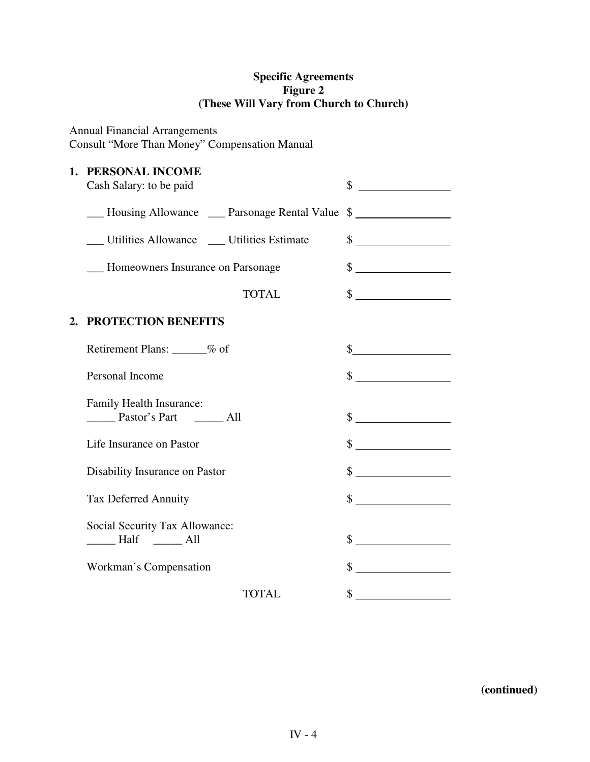## **Specific Agreements Figure 2 (These Will Vary from Church to Church)**

# Annual Financial Arrangements

Consult "More Than Money" Compensation Manual

### **1. PERSONAL INCOME**

| Cash Salary: to be paid                                                                                                   | \$                          |
|---------------------------------------------------------------------------------------------------------------------------|-----------------------------|
| ___ Housing Allowance ___ Parsonage Rental Value \$                                                                       |                             |
| Utilities Allowance _ Utilities Estimate                                                                                  | $\frac{\text{S}}{\text{S}}$ |
| - Homeowners Insurance on Parsonage                                                                                       | $\frac{\sqrt{2}}{2}$        |
| <b>TOTAL</b>                                                                                                              | $\frac{\text{S}}{\text{S}}$ |
| 2. PROTECTION BENEFITS                                                                                                    |                             |
| Retirement Plans: ______% of                                                                                              | s                           |
| Personal Income                                                                                                           | $\frac{1}{2}$               |
| Family Health Insurance:<br>Pastor's Part ________ All                                                                    | $\frac{\text{S}}{\text{S}}$ |
| Life Insurance on Pastor                                                                                                  | $\frac{1}{2}$               |
| Disability Insurance on Pastor                                                                                            | $\frac{\text{S}}{\text{S}}$ |
| <b>Tax Deferred Annuity</b>                                                                                               | $\frac{1}{2}$               |
| Social Security Tax Allowance:<br>$\frac{1}{\sqrt{1-\frac{1}{2}}}\text{Half}$ $\frac{1}{\sqrt{1-\frac{1}{2}}\text{Half}}$ | $\sim$                      |
| Workman's Compensation                                                                                                    | $\frac{1}{2}$               |
| <b>TOTAL</b>                                                                                                              | \$                          |

**(continued)**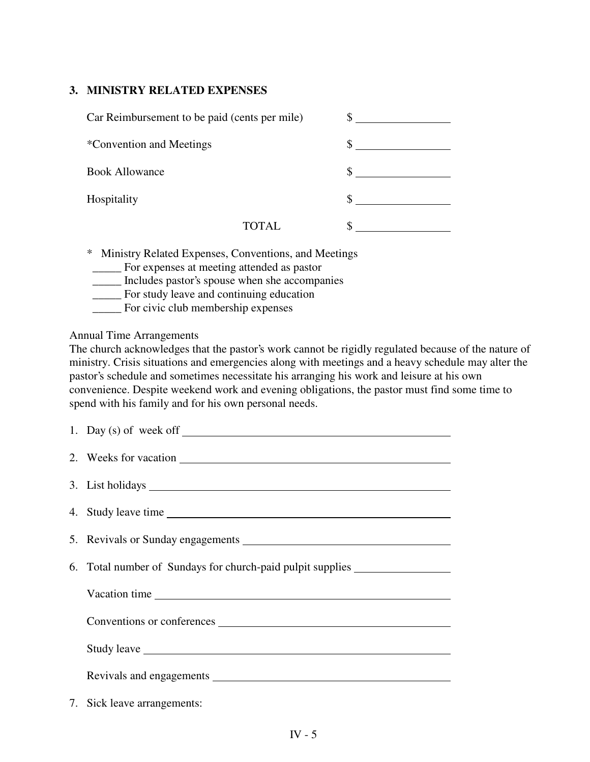### **3. MINISTRY RELATED EXPENSES**

| Car Reimbursement to be paid (cents per mile) |        |  |
|-----------------------------------------------|--------|--|
| *Convention and Meetings                      |        |  |
| <b>Book Allowance</b>                         |        |  |
| Hospitality                                   |        |  |
|                                               | TOTAL. |  |

\* Ministry Related Expenses, Conventions, and Meetings

- \_\_\_\_\_ For expenses at meeting attended as pastor
- \_\_\_\_\_ Includes pastor's spouse when she accompanies
- \_\_\_\_\_ For study leave and continuing education
- \_\_\_\_\_ For civic club membership expenses

Annual Time Arrangements

The church acknowledges that the pastor's work cannot be rigidly regulated because of the nature of ministry. Crisis situations and emergencies along with meetings and a heavy schedule may alter the pastor's schedule and sometimes necessitate his arranging his work and leisure at his own convenience. Despite weekend work and evening obligations, the pastor must find some time to spend with his family and for his own personal needs.

| 1. Day (s) of week off $\_\_$                                                    |
|----------------------------------------------------------------------------------|
|                                                                                  |
|                                                                                  |
| 4. Study leave time                                                              |
|                                                                                  |
| 6. Total number of Sundays for church-paid pulpit supplies _____________________ |
| Vacation time                                                                    |
| Conventions or conferences                                                       |
|                                                                                  |
|                                                                                  |
| 7. Sick leave arrangements:                                                      |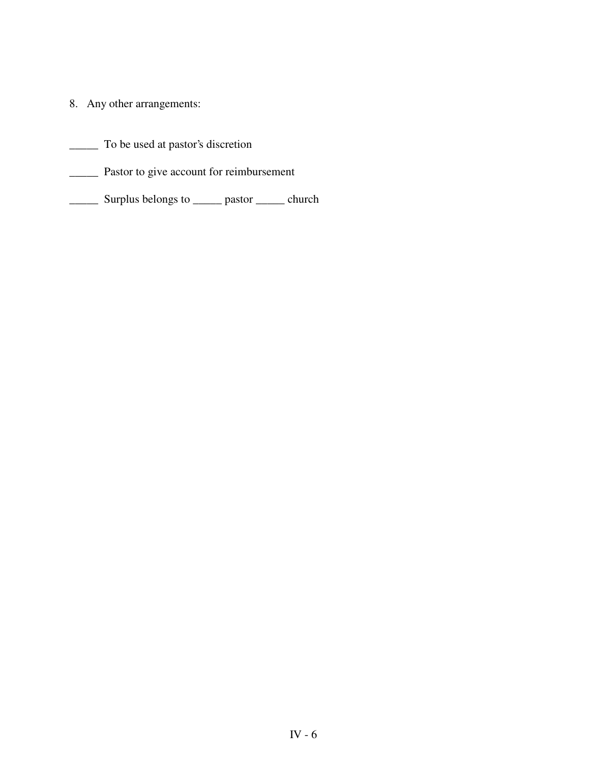- 8. Any other arrangements:
- \_\_\_\_\_ To be used at pastor's discretion
- \_\_\_\_\_ Pastor to give account for reimbursement
- \_\_\_\_\_ Surplus belongs to \_\_\_\_\_ pastor \_\_\_\_\_ church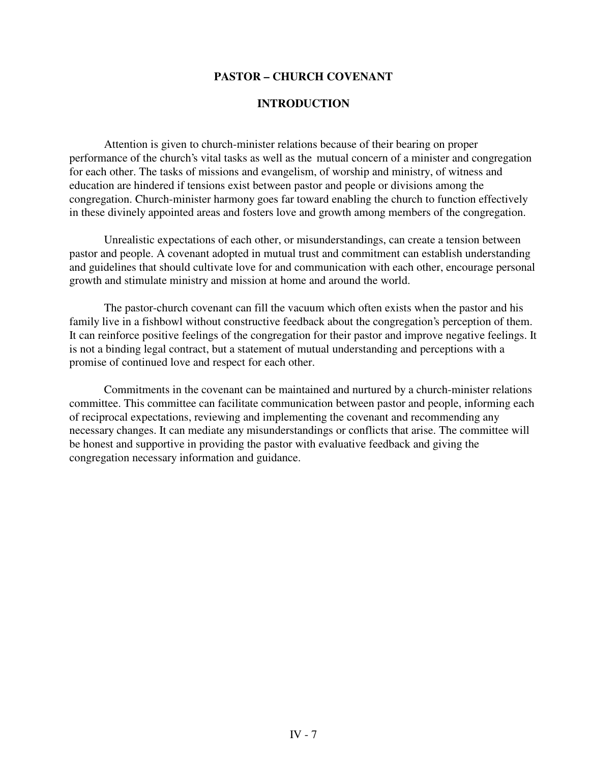#### **PASTOR – CHURCH COVENANT**

#### **INTRODUCTION**

Attention is given to church-minister relations because of their bearing on proper performance of the church's vital tasks as well as the mutual concern of a minister and congregation for each other. The tasks of missions and evangelism, of worship and ministry, of witness and education are hindered if tensions exist between pastor and people or divisions among the congregation. Church-minister harmony goes far toward enabling the church to function effectively in these divinely appointed areas and fosters love and growth among members of the congregation.

Unrealistic expectations of each other, or misunderstandings, can create a tension between pastor and people. A covenant adopted in mutual trust and commitment can establish understanding and guidelines that should cultivate love for and communication with each other, encourage personal growth and stimulate ministry and mission at home and around the world.

The pastor-church covenant can fill the vacuum which often exists when the pastor and his family live in a fishbowl without constructive feedback about the congregation's perception of them. It can reinforce positive feelings of the congregation for their pastor and improve negative feelings. It is not a binding legal contract, but a statement of mutual understanding and perceptions with a promise of continued love and respect for each other.

Commitments in the covenant can be maintained and nurtured by a church-minister relations committee. This committee can facilitate communication between pastor and people, informing each of reciprocal expectations, reviewing and implementing the covenant and recommending any necessary changes. It can mediate any misunderstandings or conflicts that arise. The committee will be honest and supportive in providing the pastor with evaluative feedback and giving the congregation necessary information and guidance.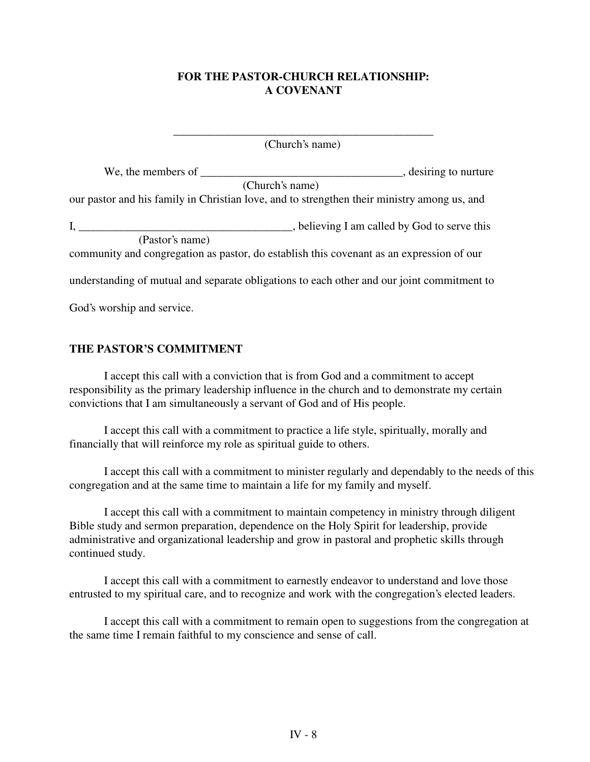### **FOR THE PASTOR-CHURCH RELATIONSHIP: A COVENANT**

\_\_\_\_\_\_\_\_\_\_\_\_\_\_\_\_\_\_\_\_\_\_\_\_\_\_\_\_\_\_\_\_\_\_\_\_\_\_\_\_\_\_\_\_\_ (Church's name)

| We, the members of                                                                          | $\overline{a}$ , desiring to nurture         |
|---------------------------------------------------------------------------------------------|----------------------------------------------|
| (Church's name)                                                                             |                                              |
| our pastor and his family in Christian love, and to strengthen their ministry among us, and |                                              |
| $I, \_\_$                                                                                   | , believing I am called by God to serve this |
| (Pastor's name)                                                                             |                                              |
| community and congregation as pastor, do establish this covenant as an expression of our    |                                              |
| understanding of mutual and separate obligations to each other and our joint commitment to  |                                              |
| God's worship and service.                                                                  |                                              |

### **THE PASTOR'S COMMITMENT**

I accept this call with a conviction that is from God and a commitment to accept responsibility as the primary leadership influence in the church and to demonstrate my certain convictions that I am simultaneously a servant of God and of His people.

I accept this call with a commitment to practice a life style, spiritually, morally and financially that will reinforce my role as spiritual guide to others.

I accept this call with a commitment to minister regularly and dependably to the needs of this congregation and at the same time to maintain a life for my family and myself.

I accept this call with a commitment to maintain competency in ministry through diligent Bible study and sermon preparation, dependence on the Holy Spirit for leadership, provide administrative and organizational leadership and grow in pastoral and prophetic skills through continued study.

I accept this call with a commitment to earnestly endeavor to understand and love those entrusted to my spiritual care, and to recognize and work with the congregation's elected leaders.

I accept this call with a commitment to remain open to suggestions from the congregation at the same time I remain faithful to my conscience and sense of call.